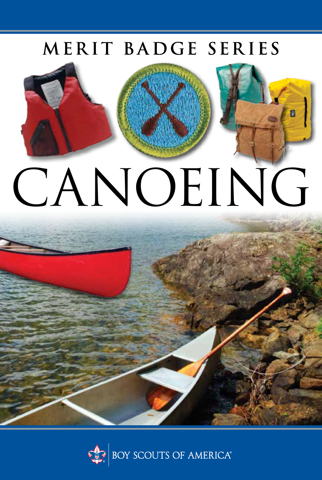# MERIT BADGE SERIES



# CANOEING



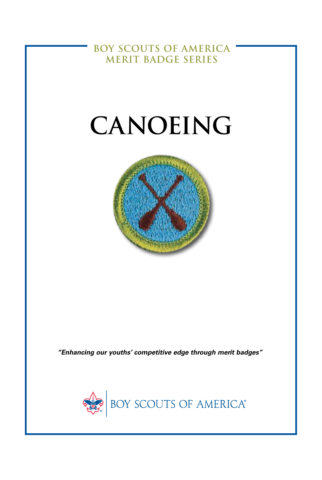**BOY SCOUTS OF AMERICA MERIT BADGE SERIES** 

# CANOEING



"Enhancing our youths' competitive edge through merit badges"

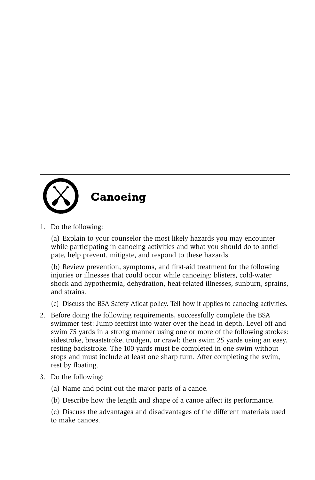

1. Do the following:

(a) Explain to your counselor the most likely hazards you may encounter while participating in canoeing activities and what you should do to anticipate, help prevent, mitigate, and respond to these hazards.

(b) Review prevention, symptoms, and first-aid treatment for the following injuries or illnesses that could occur while canoeing: blisters, cold-water shock and hypothermia, dehydration, heat-related illnesses, sunburn, sprains, and strains.

(c) Discuss the BSA Safety Afloat policy. Tell how it applies to canoeing activities.

- 2. Before doing the following requirements, successfully complete the BSA swimmer test: Jump feetfirst into water over the head in depth. Level off and swim 75 yards in a strong manner using one or more of the following strokes: sidestroke, breaststroke, trudgen, or crawl; then swim 25 yards using an easy, resting backstroke. The 100 yards must be completed in one swim without stops and must include at least one sharp turn. After completing the swim, rest by floating.
- 3. Do the following:
	- (a) Name and point out the major parts of a canoe.
	- (b) Describe how the length and shape of a canoe affect its performance.

(c) Discuss the advantages and disadvantages of the different materials used to make canoes.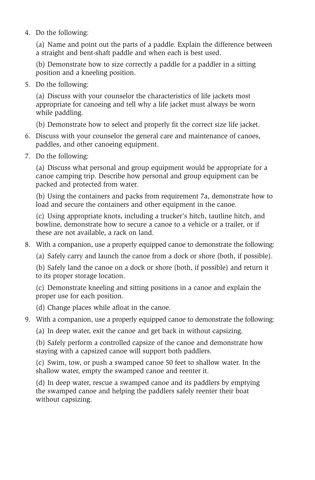4. Do the following:

(a) Name and point out the parts of a paddle. Explain the difference between a straight and bent-shaft paddle and when each is best used.

(b) Demonstrate how to size correctly a paddle for a paddler in a sitting position and a kneeling position.

5. Do the following:

(a) Discuss with your counselor the characteristics of life jackets most appropriate for canoeing and tell why a life jacket must always be worn while paddling.

(b) Demonstrate how to select and properly fit the correct size life jacket.

- 6. Discuss with your counselor the general care and maintenance of canoes, paddles, and other canoeing equipment.
- 7. Do the following:

(a) Discuss what personal and group equipment would be appropriate for a canoe camping trip. Describe how personal and group equipment can be packed and protected from water.

(b) Using the containers and packs from requirement 7a, demonstrate how to load and secure the containers and other equipment in the canoe.

(c) Using appropriate knots, including a trucker's hitch, tautline hitch, and bowline, demonstrate how to secure a canoe to a vehicle or a trailer, or if these are not available, a rack on land.

8. With a companion, use a properly equipped canoe to demonstrate the following:

(a) Safely carry and launch the canoe from a dock or shore (both, if possible).

(b) Safely land the canoe on a dock or shore (both, if possible) and return it to its proper storage location.

(c) Demonstrate kneeling and sitting positions in a canoe and explain the proper use for each position.

(d) Change places while afloat in the canoe.

- 9. With a companion, use a properly equipped canoe to demonstrate the following:
	- (a) In deep water, exit the canoe and get back in without capsizing.

(b) Safely perform a controlled capsize of the canoe and demonstrate how staying with a capsized canoe will support both paddlers.

(c) Swim, tow, or push a swamped canoe 50 feet to shallow water. In the shallow water, empty the swamped canoe and reenter it.

(d) In deep water, rescue a swamped canoe and its paddlers by emptying the swamped canoe and helping the paddlers safely reenter their boat without capsizing.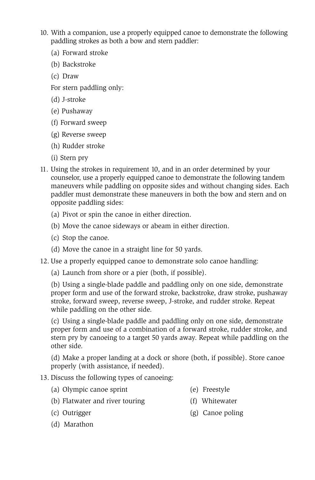- 10. With a companion, use a properly equipped canoe to demonstrate the following paddling strokes as both a bow and stern paddler:
	- (a) Forward stroke
	- (b) Backstroke
	- (c) Draw

For stern paddling only:

- (d) J-stroke
- (e) Pushaway
- (f) Forward sweep
- (g) Reverse sweep
- (h) Rudder stroke
- (i) Stern pry
- 11. Using the strokes in requirement 10, and in an order determined by your counselor, use a properly equipped canoe to demonstrate the following tandem maneuvers while paddling on opposite sides and without changing sides. Each paddler must demonstrate these maneuvers in both the bow and stern and on opposite paddling sides:
	- (a) Pivot or spin the canoe in either direction.
	- (b) Move the canoe sideways or abeam in either direction.
	- (c) Stop the canoe.
	- (d) Move the canoe in a straight line for 50 yards.
- 12. Use a properly equipped canoe to demonstrate solo canoe handling:
	- (a) Launch from shore or a pier (both, if possible).

(b) Using a single-blade paddle and paddling only on one side, demonstrate proper form and use of the forward stroke, backstroke, draw stroke, pushaway stroke, forward sweep, reverse sweep, J-stroke, and rudder stroke. Repeat while paddling on the other side.

(c) Using a single-blade paddle and paddling only on one side, demonstrate proper form and use of a combination of a forward stroke, rudder stroke, and stern pry by canoeing to a target 50 yards away. Repeat while paddling on the other side.

(d) Make a proper landing at a dock or shore (both, if possible). Store canoe properly (with assistance, if needed).

## 13. Discuss the following types of canoeing:

- (a) Olympic canoe sprint (e) Freestyle
	-
- (b) Flatwater and river touring (f) Whitewater
	-
- 
- (c) Outrigger (g) Canoe poling
- (d) Marathon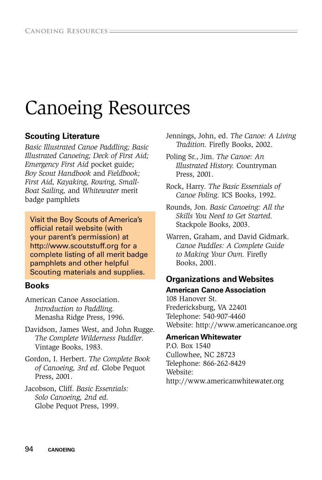# Canoeing Resources

## **Scouting Literature**

*Basic Illustrated Canoe Paddling; Basic Illustrated Canoeing; Deck of First Aid; Emergency First Aid* pocket guide; *Boy Scout Handbook* and *Fieldbook; First Aid, Kayaking, Rowing, Small-Boat Sailing,* and *Whitewater* merit badge pamphlets

Visit the Boy Scouts of America's official retail website (with your parent's permission) at http://www.scoutstuff.org for a complete listing of all merit badge pamphlets and other helpful Scouting materials and supplies.

### **Books**

American Canoe Association. *Introduction to Paddling.* Menasha Ridge Press, 1996.

- Davidson, James West, and John Rugge. *The Complete Wilderness Paddler*. Vintage Books, 1983.
- Gordon, I. Herbert. *The Complete Book of Canoeing, 3rd ed.* Globe Pequot Press, 2001.
- Jacobson, Cliff. *Basic Essentials: Solo Canoeing, 2nd ed.* Globe Pequot Press, 1999.

Jennings, John, ed. *The Canoe: A Living Tradition.* Firefy Books, 2002.

Poling Sr., Jim. *The Canoe: An Illustrated History.* Countryman Press, 2001.

Rock, Harry. *The Basic Essentials of Canoe Poling.* ICS Books, 1992.

Rounds, Jon. *Basic Canoeing: All the Skills You Need to Get Started.* Stackpole Books, 2003.

Warren, Graham, and David Gidmark. *Canoe Paddles: A Complete Guide to Making Your Own.* Firefy Books, 2001.

# **Organizations and Websites**

**American Canoe Association** 108 Hanover St. Fredericksburg, VA 22401 Telephone: 540-907-4460 Website: http://www.americancanoe.org

#### **American Whitewater**

P.O. Box 1540 Cullowhee, NC 28723 Telephone: 866-262-8429 Website: http://www.americanwhitewater.org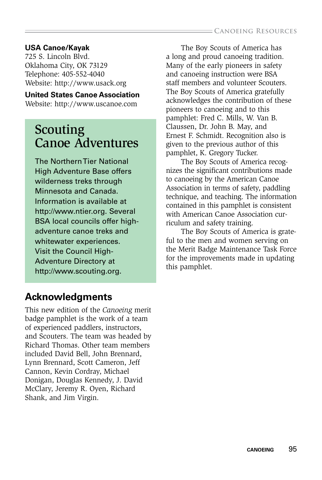#### **USA Canoe/Kayak**

725 S. Lincoln Blvd. Oklahoma City, OK 73129 Telephone: 405-552-4040 Website: http://www.usack.org

#### **United States Canoe Association**

Website: http://www.uscanoe.com

# Scouting Canoe Adventures

The Northern Tier National High Adventure Base offers wilderness treks through Minnesota and Canada. Information is available at http://www.ntier.org. Several BSA local councils offer highadventure canoe treks and whitewater experiences. Visit the Council High-Adventure Directory at http://www.scouting.org.

The Boy Scouts of America has a long and proud canoeing tradition. Many of the early pioneers in safety and canoeing instruction were BSA staff members and volunteer Scouters. The Boy Scouts of America gratefully acknowledges the contribution of these pioneers to canoeing and to this pamphlet: Fred C. Mills, W. Van B. Claussen, Dr. John B. May, and Ernest F. Schmidt. Recognition also is given to the previous author of this pamphlet, K. Gregory Tucker.

The Boy Scouts of America recognizes the signifcant contributions made to canoeing by the American Canoe Association in terms of safety, paddling technique, and teaching. The information contained in this pamphlet is consistent with American Canoe Association curriculum and safety training.

The Boy Scouts of America is grateful to the men and women serving on the Merit Badge Maintenance Task Force for the improvements made in updating this pamphlet.

# **Acknowledgments**

This new edition of the *Canoeing* merit badge pamphlet is the work of a team of experienced paddlers, instructors, and Scouters. The team was headed by Richard Thomas. Other team members included David Bell, John Brennard, Lynn Brennard, Scott Cameron, Jeff Cannon, Kevin Cordray, Michael Donigan, Douglas Kennedy, J. David McClary, Jeremy R. Oyen, Richard Shank, and Jim Virgin.